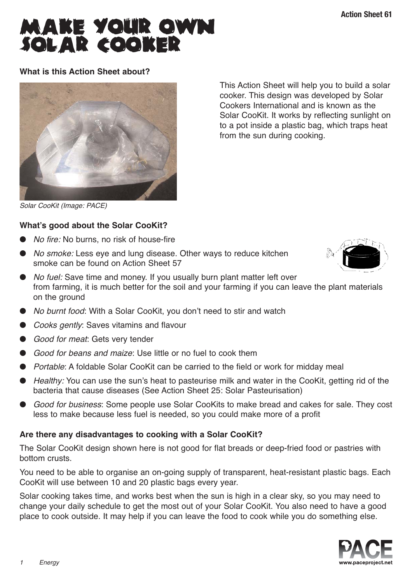# MAKE YOUR OWN<br>SOLAR COOKER

# **What is this Action Sheet about?**



This Action Sheet will help you to build a solar cooker. This design was developed by Solar Cookers International and is known as the Solar CooKit. It works by reflecting sunlight on to a pot inside a plastic bag, which traps heat from the sun during cooking.

Solar CooKit (Image: PACE)

# **What's good about the Solar CooKit?**

- No fire: No burns, no risk of house-fire
- *No smoke:* Less eye and lung disease. Other ways to reduce kitchen smoke can be found on Action Sheet 57



- *No fuel:* Save time and money. If you usually burn plant matter left over from farming, it is much better for the soil and your farming if you can leave the plant materials on the ground
- No burnt food: With a Solar CooKit, you don't need to stir and watch
- *Cooks gently:* Saves vitamins and flavour
- Good for meat: Gets very tender
- Good for beans and maize: Use little or no fuel to cook them
- Portable: A foldable Solar CooKit can be carried to the field or work for midday meal
- Healthy: You can use the sun's heat to pasteurise milk and water in the CooKit, getting rid of the bacteria that cause diseases (See Action Sheet 25: Solar Pasteurisation)
- Good for business: Some people use Solar CooKits to make bread and cakes for sale. They cost less to make because less fuel is needed, so you could make more of a profit

# **Are there any disadvantages to cooking with a Solar CooKit?**

The Solar CooKit design shown here is not good for flat breads or deep-fried food or pastries with bottom crusts.

You need to be able to organise an on-going supply of transparent, heat-resistant plastic bags. Each CooKit will use between 10 and 20 plastic bags every year.

Solar cooking takes time, and works best when the sun is high in a clear sky, so you may need to change your daily schedule to get the most out of your Solar CooKit. You also need to have a good place to cook outside. It may help if you can leave the food to cook while you do something else.

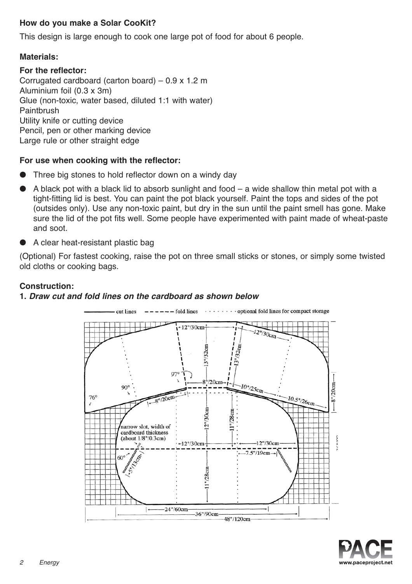# **How do you make a Solar CooKit?**

This design is large enough to cook one large pot of food for about 6 people.

## **Materials:**

#### **For the reflector:**

Corrugated cardboard (carton board) – 0.9 x 1.2 m Aluminium foil (0.3 x 3m) Glue (non-toxic, water based, diluted 1:1 with water) Paintbrush Utility knife or cutting device Pencil, pen or other marking device Large rule or other straight edge

#### **For use when cooking with the reflector:**

- Three big stones to hold reflector down on a windy day
- A black pot with a black lid to absorb sunlight and food  $-$  a wide shallow thin metal pot with a tight-fitting lid is best. You can paint the pot black yourself. Paint the tops and sides of the pot (outsides only). Use any non-toxic paint, but dry in the sun until the paint smell has gone. Make sure the lid of the pot fits well. Some people have experimented with paint made of wheat-paste and soot.
- A clear heat-resistant plastic bag

(Optional) For fastest cooking, raise the pot on three small sticks or stones, or simply some twisted old cloths or cooking bags.

# **Construction:**

## **1.** *Draw cut and fold lines on the cardboard as shown below*



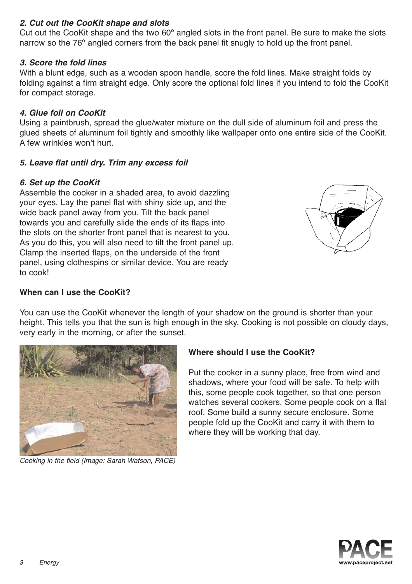# *2. Cut out the CooKit shape and slots*

Cut out the CooKit shape and the two 60º angled slots in the front panel. Be sure to make the slots narrow so the 76º angled corners from the back panel fit snugly to hold up the front panel.

# *3. Score the fold lines*

With a blunt edge, such as a wooden spoon handle, score the fold lines. Make straight folds by folding against a firm straight edge. Only score the optional fold lines if you intend to fold the CooKit for compact storage.

## *4. Glue foil on CooKit*

Using a paintbrush, spread the glue/water mixture on the dull side of aluminum foil and press the glued sheets of aluminum foil tightly and smoothly like wallpaper onto one entire side of the CooKit. A few wrinkles won't hurt.

#### *5. Leave flat until dry. Trim any excess foil*

#### *6. Set up the CooKit*

Assemble the cooker in a shaded area, to avoid dazzling your eyes. Lay the panel flat with shiny side up, and the wide back panel away from you. Tilt the back panel towards you and carefully slide the ends of its flaps into the slots on the shorter front panel that is nearest to you. As you do this, you will also need to tilt the front panel up. Clamp the inserted flaps, on the underside of the front panel, using clothespins or similar device. You are ready to cook!



#### **When can I use the CooKit?**

You can use the CooKit whenever the length of your shadow on the ground is shorter than your height. This tells you that the sun is high enough in the sky. Cooking is not possible on cloudy days, very early in the morning, or after the sunset.



Cooking in the field (Image: Sarah Watson, PACE)

# **Where should I use the CooKit?**

Put the cooker in a sunny place, free from wind and shadows, where your food will be safe. To help with this, some people cook together, so that one person watches several cookers. Some people cook on a flat roof. Some build a sunny secure enclosure. Some people fold up the CooKit and carry it with them to where they will be working that day.

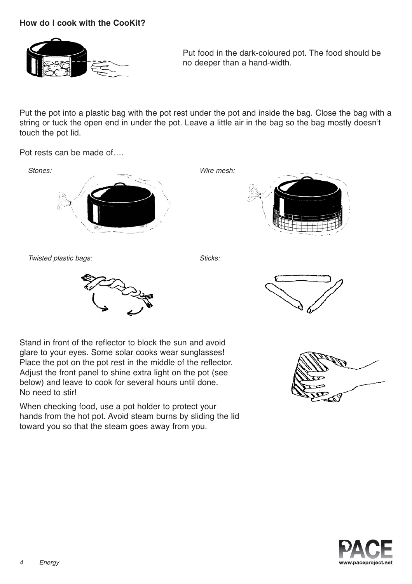# **How do I cook with the CooKit?**



Put food in the dark-coloured pot. The food should be no deeper than a hand-width.

Put the pot into a plastic bag with the pot rest under the pot and inside the bag. Close the bag with a string or tuck the open end in under the pot. Leave a little air in the bag so the bag mostly doesn't touch the pot lid.

Pot rests can be made of….



Twisted plastic bags: Sticks: Sticks: Sticks:







Stand in front of the reflector to block the sun and avoid glare to your eyes. Some solar cooks wear sunglasses! Place the pot on the pot rest in the middle of the reflector. Adjust the front panel to shine extra light on the pot (see below) and leave to cook for several hours until done. No need to stir!

When checking food, use a pot holder to protect your hands from the hot pot. Avoid steam burns by sliding the lid toward you so that the steam goes away from you.



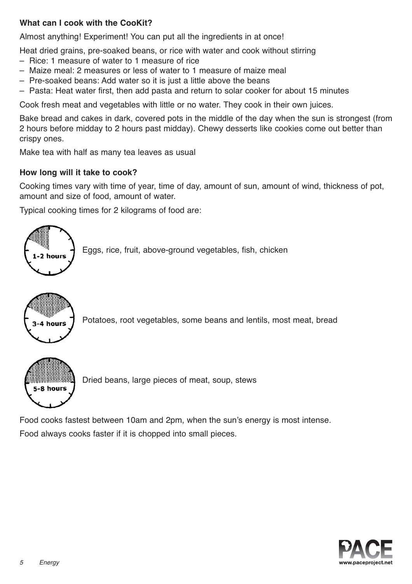# **What can I cook with the CooKit?**

Almost anything! Experiment! You can put all the ingredients in at once!

Heat dried grains, pre-soaked beans, or rice with water and cook without stirring

- Rice: 1 measure of water to 1 measure of rice
- Maize meal: 2 measures or less of water to 1 measure of maize meal
- Pre-soaked beans: Add water so it is just a little above the beans
- Pasta: Heat water first, then add pasta and return to solar cooker for about 15 minutes

Cook fresh meat and vegetables with little or no water. They cook in their own juices.

Bake bread and cakes in dark, covered pots in the middle of the day when the sun is strongest (from 2 hours before midday to 2 hours past midday). Chewy desserts like cookies come out better than crispy ones.

Make tea with half as many tea leaves as usual

# **How long will it take to cook?**

Cooking times vary with time of year, time of day, amount of sun, amount of wind, thickness of pot, amount and size of food, amount of water.

Typical cooking times for 2 kilograms of food are:



Eggs, rice, fruit, above-ground vegetables, fish, chicken



Potatoes, root vegetables, some beans and lentils, most meat, bread



Dried beans, large pieces of meat, soup, stews

Food cooks fastest between 10am and 2pm, when the sun's energy is most intense. Food always cooks faster if it is chopped into small pieces.

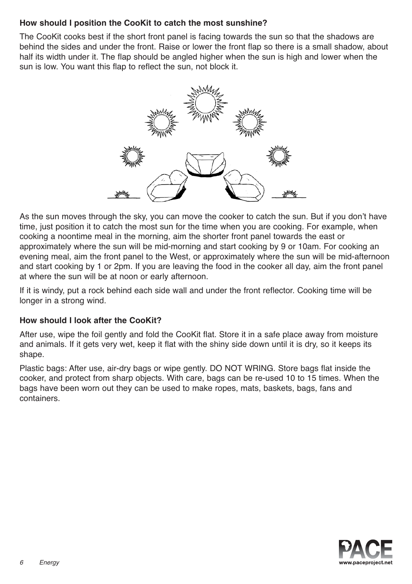# **How should I position the CooKit to catch the most sunshine?**

The CooKit cooks best if the short front panel is facing towards the sun so that the shadows are behind the sides and under the front. Raise or lower the front flap so there is a small shadow, about half its width under it. The flap should be angled higher when the sun is high and lower when the sun is low. You want this flap to reflect the sun, not block it.



As the sun moves through the sky, you can move the cooker to catch the sun. But if you don't have time, just position it to catch the most sun for the time when you are cooking. For example, when cooking a noontime meal in the morning, aim the shorter front panel towards the east or approximately where the sun will be mid-morning and start cooking by 9 or 10am. For cooking an evening meal, aim the front panel to the West, or approximately where the sun will be mid-afternoon and start cooking by 1 or 2pm. If you are leaving the food in the cooker all day, aim the front panel at where the sun will be at noon or early afternoon.

If it is windy, put a rock behind each side wall and under the front reflector. Cooking time will be longer in a strong wind.

# **How should I look after the CooKit?**

After use, wipe the foil gently and fold the CooKit flat. Store it in a safe place away from moisture and animals. If it gets very wet, keep it flat with the shiny side down until it is dry, so it keeps its shape.

Plastic bags: After use, air-dry bags or wipe gently. DO NOT WRING. Store bags flat inside the cooker, and protect from sharp objects. With care, bags can be re-used 10 to 15 times. When the bags have been worn out they can be used to make ropes, mats, baskets, bags, fans and containers.